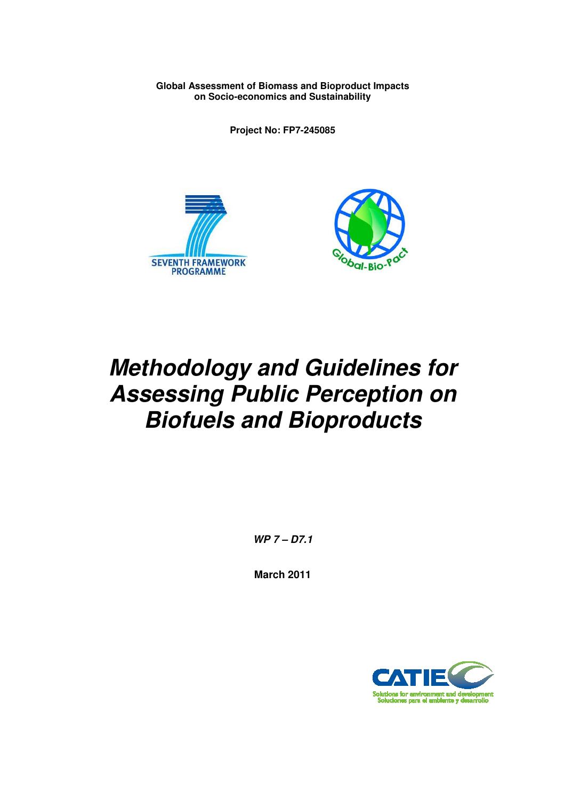**Global Assessment of Biomass and Bioproduct Impacts on Socio-economics and Sustainability** 

**Project No: FP7-245085** 





# **Methodology and Guidelines for Assessing Public Perception on Biofuels and Bioproducts**

**WP 7 – D7.1** 

**March 2011** 

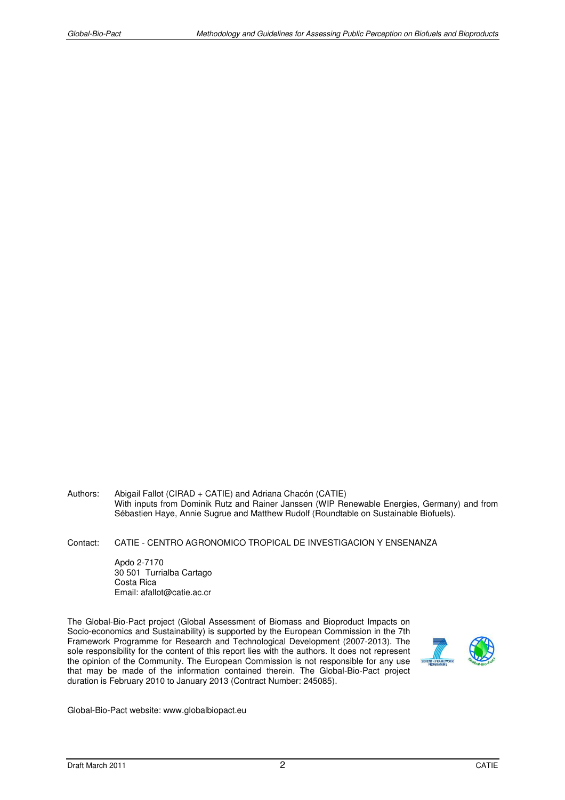- Authors: Abigail Fallot (CIRAD + CATIE) and Adriana Chacón (CATIE) With inputs from Dominik Rutz and Rainer Janssen (WIP Renewable Energies, Germany) and from Sébastien Haye, Annie Sugrue and Matthew Rudolf (Roundtable on Sustainable Biofuels).
- Contact: CATIE CENTRO AGRONOMICO TROPICAL DE INVESTIGACION Y ENSENANZA

 Apdo 2-7170 30 501 Turrialba Cartago Costa Rica Email: afallot@catie.ac.cr

The Global-Bio-Pact project (Global Assessment of Biomass and Bioproduct Impacts on Socio-economics and Sustainability) is supported by the European Commission in the 7th Framework Programme for Research and Technological Development (2007-2013). The sole responsibility for the content of this report lies with the authors. It does not represent the opinion of the Community. The European Commission is not responsible for any use that may be made of the information contained therein. The Global-Bio-Pact project duration is February 2010 to January 2013 (Contract Number: 245085).



Global-Bio-Pact website: www.globalbiopact.eu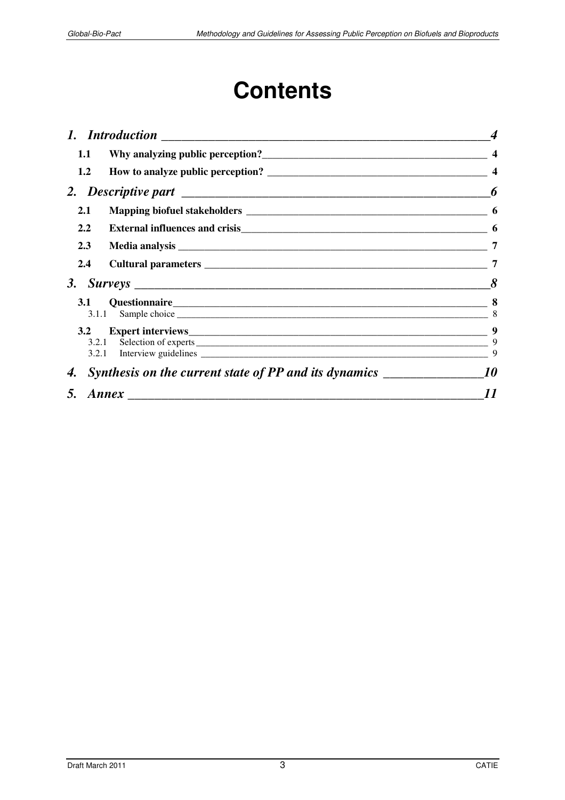# **Contents**

| 1.1 |                                                                                   |    |
|-----|-----------------------------------------------------------------------------------|----|
| 1.2 |                                                                                   |    |
|     |                                                                                   | 6  |
| 2.1 |                                                                                   | -6 |
| 2.2 |                                                                                   |    |
| 2.3 |                                                                                   | 7  |
| 2.4 |                                                                                   | 7  |
|     |                                                                                   |    |
|     | 3.1.1                                                                             | 8  |
|     | 3.2.1<br>3.2.1                                                                    | 9  |
| 4.  | Synthesis on the current state of PP and its dynamics ___________________________ | 10 |
| 5.  |                                                                                   | 11 |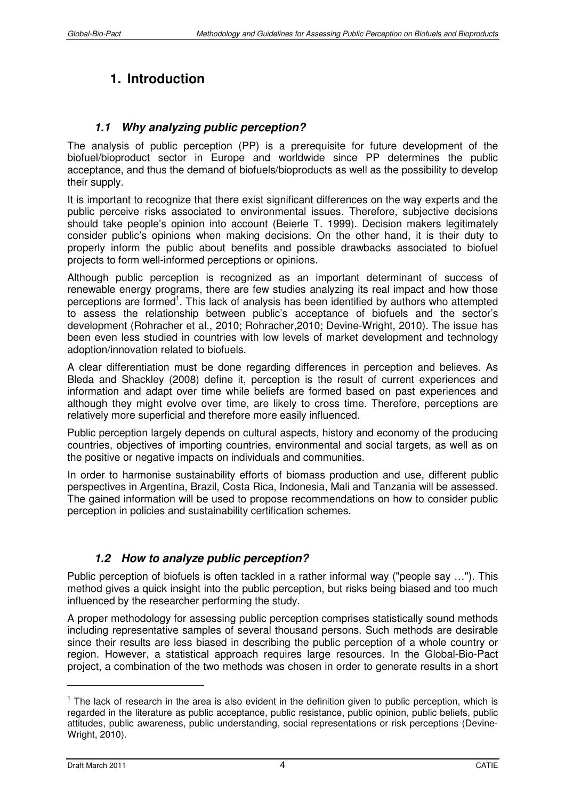## **1. Introduction**

## **1.1 Why analyzing public perception?**

The analysis of public perception (PP) is a prerequisite for future development of the biofuel/bioproduct sector in Europe and worldwide since PP determines the public acceptance, and thus the demand of biofuels/bioproducts as well as the possibility to develop their supply.

It is important to recognize that there exist significant differences on the way experts and the public perceive risks associated to environmental issues. Therefore, subjective decisions should take people's opinion into account (Beierle T. 1999). Decision makers legitimately consider public's opinions when making decisions. On the other hand, it is their duty to properly inform the public about benefits and possible drawbacks associated to biofuel projects to form well-informed perceptions or opinions.

Although public perception is recognized as an important determinant of success of renewable energy programs, there are few studies analyzing its real impact and how those perceptions are formed<sup>1</sup>. This lack of analysis has been identified by authors who attempted to assess the relationship between public's acceptance of biofuels and the sector's development (Rohracher et al., 2010; Rohracher,2010; Devine-Wright, 2010). The issue has been even less studied in countries with low levels of market development and technology adoption/innovation related to biofuels.

A clear differentiation must be done regarding differences in perception and believes. As Bleda and Shackley (2008) define it, perception is the result of current experiences and information and adapt over time while beliefs are formed based on past experiences and although they might evolve over time, are likely to cross time. Therefore, perceptions are relatively more superficial and therefore more easily influenced.

Public perception largely depends on cultural aspects, history and economy of the producing countries, objectives of importing countries, environmental and social targets, as well as on the positive or negative impacts on individuals and communities.

In order to harmonise sustainability efforts of biomass production and use, different public perspectives in Argentina, Brazil, Costa Rica, Indonesia, Mali and Tanzania will be assessed. The gained information will be used to propose recommendations on how to consider public perception in policies and sustainability certification schemes.

## **1.2 How to analyze public perception?**

Public perception of biofuels is often tackled in a rather informal way ("people say …"). This method gives a quick insight into the public perception, but risks being biased and too much influenced by the researcher performing the study.

A proper methodology for assessing public perception comprises statistically sound methods including representative samples of several thousand persons. Such methods are desirable since their results are less biased in describing the public perception of a whole country or region. However, a statistical approach requires large resources. In the Global-Bio-Pact project, a combination of the two methods was chosen in order to generate results in a short

 $\overline{a}$ 

<sup>&</sup>lt;sup>1</sup> The lack of research in the area is also evident in the definition given to public perception, which is regarded in the literature as public acceptance, public resistance, public opinion, public beliefs, public attitudes, public awareness, public understanding, social representations or risk perceptions (Devine-Wright, 2010).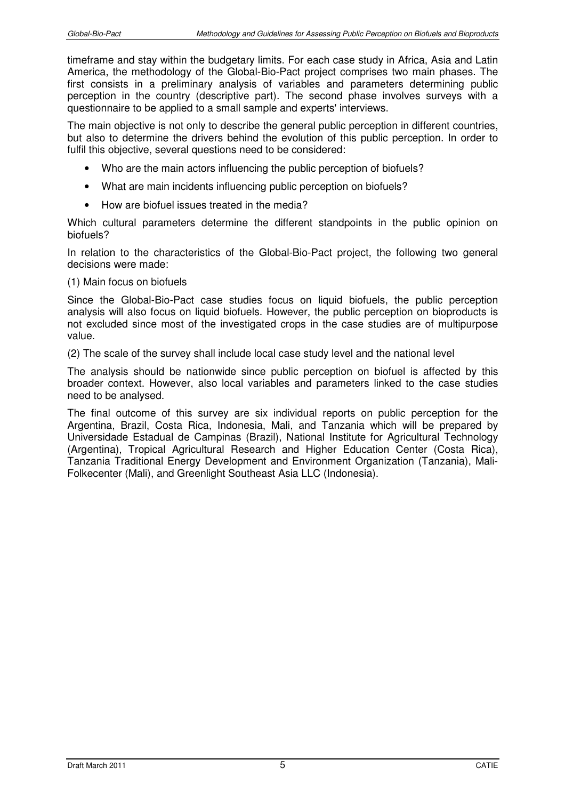timeframe and stay within the budgetary limits. For each case study in Africa, Asia and Latin America, the methodology of the Global-Bio-Pact project comprises two main phases. The first consists in a preliminary analysis of variables and parameters determining public perception in the country (descriptive part). The second phase involves surveys with a questionnaire to be applied to a small sample and experts' interviews.

The main objective is not only to describe the general public perception in different countries, but also to determine the drivers behind the evolution of this public perception. In order to fulfil this objective, several questions need to be considered:

- Who are the main actors influencing the public perception of biofuels?
- What are main incidents influencing public perception on biofuels?
- How are biofuel issues treated in the media?

Which cultural parameters determine the different standpoints in the public opinion on biofuels?

In relation to the characteristics of the Global-Bio-Pact project, the following two general decisions were made:

#### (1) Main focus on biofuels

Since the Global-Bio-Pact case studies focus on liquid biofuels, the public perception analysis will also focus on liquid biofuels. However, the public perception on bioproducts is not excluded since most of the investigated crops in the case studies are of multipurpose value.

(2) The scale of the survey shall include local case study level and the national level

The analysis should be nationwide since public perception on biofuel is affected by this broader context. However, also local variables and parameters linked to the case studies need to be analysed.

The final outcome of this survey are six individual reports on public perception for the Argentina, Brazil, Costa Rica, Indonesia, Mali, and Tanzania which will be prepared by Universidade Estadual de Campinas (Brazil), National Institute for Agricultural Technology (Argentina), Tropical Agricultural Research and Higher Education Center (Costa Rica), Tanzania Traditional Energy Development and Environment Organization (Tanzania), Mali-Folkecenter (Mali), and Greenlight Southeast Asia LLC (Indonesia).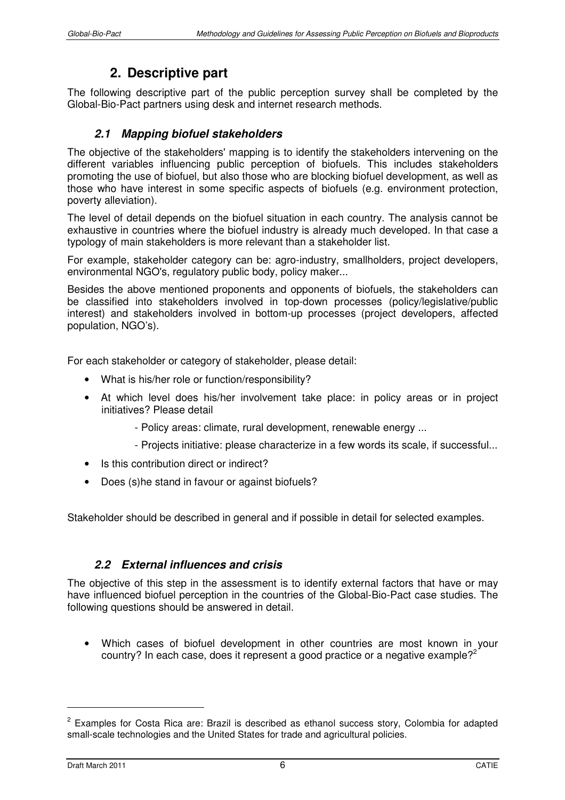## **2. Descriptive part**

The following descriptive part of the public perception survey shall be completed by the Global-Bio-Pact partners using desk and internet research methods.

### **2.1 Mapping biofuel stakeholders**

The objective of the stakeholders' mapping is to identify the stakeholders intervening on the different variables influencing public perception of biofuels. This includes stakeholders promoting the use of biofuel, but also those who are blocking biofuel development, as well as those who have interest in some specific aspects of biofuels (e.g. environment protection, poverty alleviation).

The level of detail depends on the biofuel situation in each country. The analysis cannot be exhaustive in countries where the biofuel industry is already much developed. In that case a typology of main stakeholders is more relevant than a stakeholder list.

For example, stakeholder category can be: agro-industry, smallholders, project developers, environmental NGO's, regulatory public body, policy maker...

Besides the above mentioned proponents and opponents of biofuels, the stakeholders can be classified into stakeholders involved in top-down processes (policy/legislative/public interest) and stakeholders involved in bottom-up processes (project developers, affected population, NGO's).

For each stakeholder or category of stakeholder, please detail:

- What is his/her role or function/responsibility?
- At which level does his/her involvement take place: in policy areas or in project initiatives? Please detail
	- Policy areas: climate, rural development, renewable energy ...
	- Projects initiative: please characterize in a few words its scale, if successful...
- Is this contribution direct or indirect?
- Does (s)he stand in favour or against biofuels?

Stakeholder should be described in general and if possible in detail for selected examples.

### **2.2 External influences and crisis**

The objective of this step in the assessment is to identify external factors that have or may have influenced biofuel perception in the countries of the Global-Bio-Pact case studies. The following questions should be answered in detail.

• Which cases of biofuel development in other countries are most known in your country? In each case, does it represent a good practice or a negative example?<sup>2</sup>

 $\overline{a}$ 

 $2$  Examples for Costa Rica are: Brazil is described as ethanol success story, Colombia for adapted small-scale technologies and the United States for trade and agricultural policies.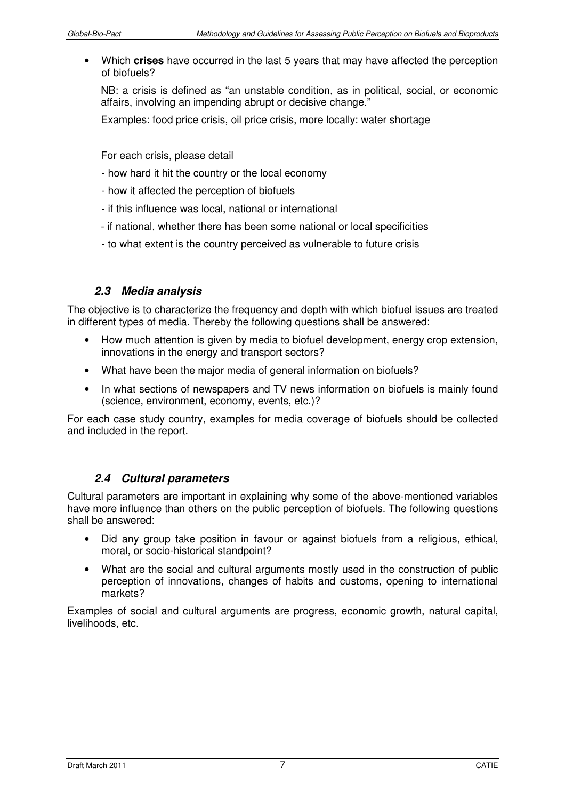• Which **crises** have occurred in the last 5 years that may have affected the perception of biofuels?

NB: a crisis is defined as "an unstable condition, as in political, social, or economic affairs, involving an impending abrupt or decisive change."

Examples: food price crisis, oil price crisis, more locally: water shortage

For each crisis, please detail

- how hard it hit the country or the local economy
- how it affected the perception of biofuels
- if this influence was local, national or international
- if national, whether there has been some national or local specificities
- to what extent is the country perceived as vulnerable to future crisis

#### **2.3 Media analysis**

The objective is to characterize the frequency and depth with which biofuel issues are treated in different types of media. Thereby the following questions shall be answered:

- How much attention is given by media to biofuel development, energy crop extension, innovations in the energy and transport sectors?
- What have been the major media of general information on biofuels?
- In what sections of newspapers and TV news information on biofuels is mainly found (science, environment, economy, events, etc.)?

For each case study country, examples for media coverage of biofuels should be collected and included in the report.

#### **2.4 Cultural parameters**

Cultural parameters are important in explaining why some of the above-mentioned variables have more influence than others on the public perception of biofuels. The following questions shall be answered:

- Did any group take position in favour or against biofuels from a religious, ethical, moral, or socio-historical standpoint?
- What are the social and cultural arguments mostly used in the construction of public perception of innovations, changes of habits and customs, opening to international markets?

Examples of social and cultural arguments are progress, economic growth, natural capital, livelihoods, etc.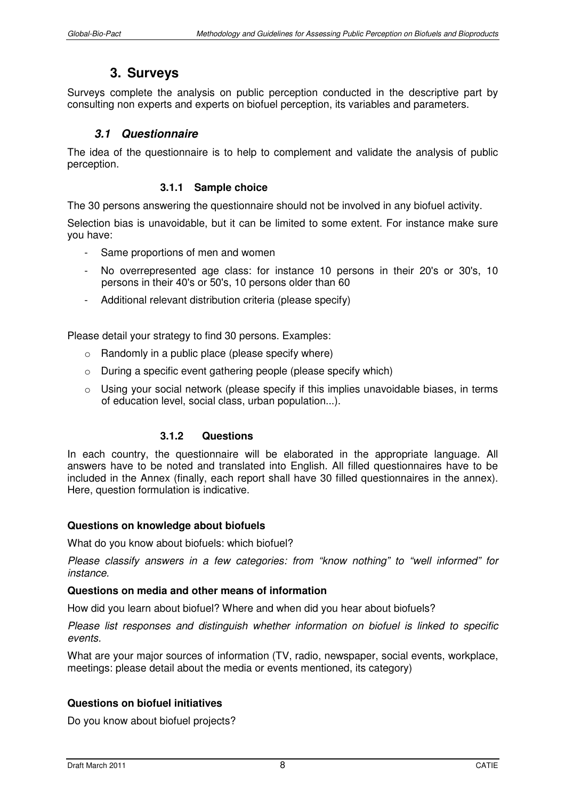## **3. Surveys**

Surveys complete the analysis on public perception conducted in the descriptive part by consulting non experts and experts on biofuel perception, its variables and parameters.

#### **3.1 Questionnaire**

The idea of the questionnaire is to help to complement and validate the analysis of public perception.

#### **3.1.1 Sample choice**

The 30 persons answering the questionnaire should not be involved in any biofuel activity.

Selection bias is unavoidable, but it can be limited to some extent. For instance make sure you have:

- Same proportions of men and women
- No overrepresented age class: for instance 10 persons in their 20's or 30's, 10 persons in their 40's or 50's, 10 persons older than 60
- Additional relevant distribution criteria (please specify)

Please detail your strategy to find 30 persons. Examples:

- $\circ$  Randomly in a public place (please specify where)
- o During a specific event gathering people (please specify which)
- o Using your social network (please specify if this implies unavoidable biases, in terms of education level, social class, urban population...).

#### **3.1.2 Questions**

In each country, the questionnaire will be elaborated in the appropriate language. All answers have to be noted and translated into English. All filled questionnaires have to be included in the Annex (finally, each report shall have 30 filled questionnaires in the annex). Here, question formulation is indicative.

#### **Questions on knowledge about biofuels**

What do you know about biofuels: which biofuel?

*Please classify answers in a few categories: from "know nothing" to "well informed" for instance.*

#### **Questions on media and other means of information**

How did you learn about biofuel? Where and when did you hear about biofuels?

*Please list responses and distinguish whether information on biofuel is linked to specific events.*

What are your major sources of information (TV, radio, newspaper, social events, workplace, meetings: please detail about the media or events mentioned, its category)

#### **Questions on biofuel initiatives**

Do you know about biofuel projects?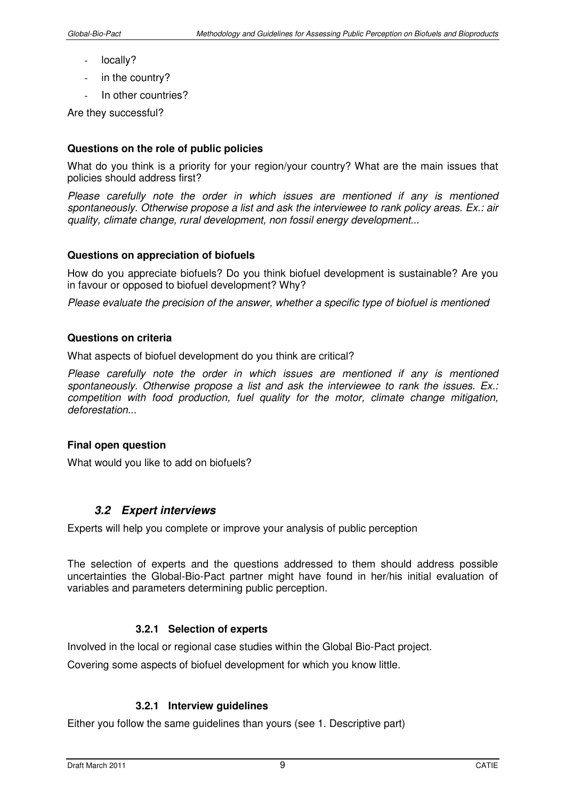- locally?
- in the country?
- In other countries?

Are they successful?

#### **Questions on the role of public policies**

What do you think is a priority for your region/your country? What are the main issues that policies should address first?

*Please carefully note the order in which issues are mentioned if any is mentioned spontaneously. Otherwise propose a list and ask the interviewee to rank policy areas. Ex.: air quality, climate change, rural development, non fossil energy development...* 

#### **Questions on appreciation of biofuels**

How do you appreciate biofuels? Do you think biofuel development is sustainable? Are you in favour or opposed to biofuel development? Why?

*Please evaluate the precision of the answer, whether a specific type of biofuel is mentioned* 

#### **Questions on criteria**

What aspects of biofuel development do you think are critical?

Please carefully note the order in which issues are mentioned if any is mentioned *spontaneously. Otherwise propose a list and ask the interviewee to rank the issues. Ex.: competition with food production, fuel quality for the motor, climate change mitigation, deforestation...* 

#### **Final open question**

What would you like to add on biofuels?

#### **3.2 Expert interviews**

Experts will help you complete or improve your analysis of public perception

The selection of experts and the questions addressed to them should address possible uncertainties the Global-Bio-Pact partner might have found in her/his initial evaluation of variables and parameters determining public perception.

#### **3.2.1 Selection of experts**

Involved in the local or regional case studies within the Global Bio-Pact project.

Covering some aspects of biofuel development for which you know little.

#### **3.2.1 Interview guidelines**

Either you follow the same guidelines than yours (see 1. Descriptive part)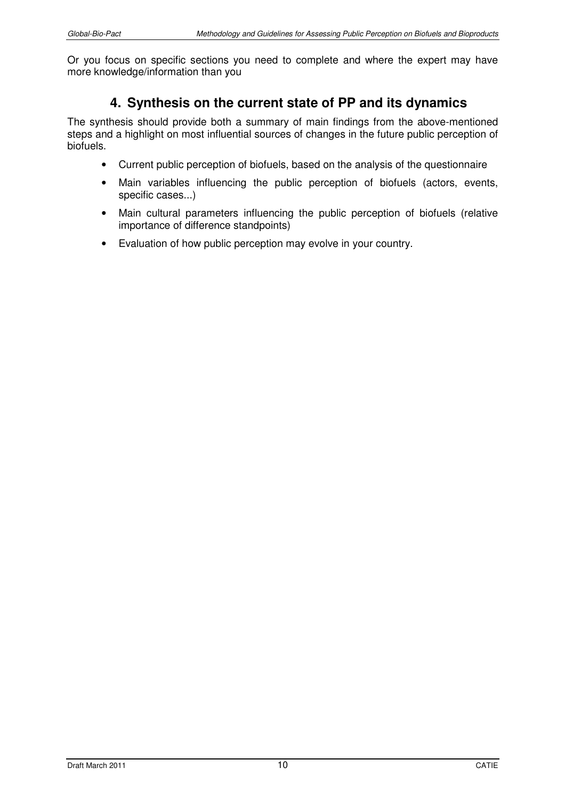Or you focus on specific sections you need to complete and where the expert may have more knowledge/information than you

## **4. Synthesis on the current state of PP and its dynamics**

The synthesis should provide both a summary of main findings from the above-mentioned steps and a highlight on most influential sources of changes in the future public perception of biofuels.

- Current public perception of biofuels, based on the analysis of the questionnaire
- Main variables influencing the public perception of biofuels (actors, events, specific cases...)
- Main cultural parameters influencing the public perception of biofuels (relative importance of difference standpoints)
- Evaluation of how public perception may evolve in your country.